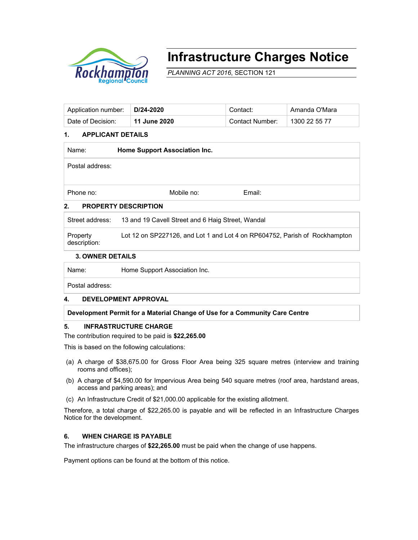

# **Infrastructure Charges Notice**

*PLANNING ACT 2016*, SECTION 121

| Application number:   D/24-2020 |                | Contact:        | Amanda O'Mara |
|---------------------------------|----------------|-----------------|---------------|
| Date of Decision:               | ່ 11 June 2020 | Contact Number: | 1300 22 55 77 |

# **1. APPLICANT DETAILS**

| Name:           | Home Support Association Inc. |        |  |  |
|-----------------|-------------------------------|--------|--|--|
| Postal address: |                               |        |  |  |
| Phone no:       | Mobile no:                    | Email: |  |  |
| 2.              | <b>PROPERTY DESCRIPTION</b>   |        |  |  |

# Street address: 13 and 19 Cavell Street and 6 Haig Street, Wandal

Property description: Lot 12 on SP227126, and Lot 1 and Lot 4 on RP604752, Parish of Rockhampton

#### **3. OWNER DETAILS**

Name: Home Support Association Inc.

Postal address:

# **4. DEVELOPMENT APPROVAL**

**Development Permit for a Material Change of Use for a Community Care Centre** 

#### **5. INFRASTRUCTURE CHARGE**

#### The contribution required to be paid is **\$22,265.00**

This is based on the following calculations:

- (a) A charge of \$38,675.00 for Gross Floor Area being 325 square metres (interview and training rooms and offices);
- (b) A charge of \$4,590.00 for Impervious Area being 540 square metres (roof area, hardstand areas, access and parking areas); and
- (c) An Infrastructure Credit of \$21,000.00 applicable for the existing allotment.

Therefore, a total charge of \$22,265.00 is payable and will be reflected in an Infrastructure Charges Notice for the development.

# **6. WHEN CHARGE IS PAYABLE**

The infrastructure charges of **\$22,265.00** must be paid when the change of use happens.

Payment options can be found at the bottom of this notice.